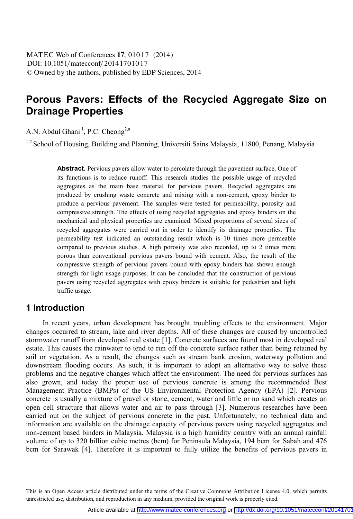# **Porous Pavers: Effects of the Recycled Aggregate Size on Drainage Properties**

A.N. Abdul Ghani<sup>1</sup>, P.C. Cheong<sup>2,a</sup>

<sup>1,2</sup> School of Housing, Building and Planning, Universiti Sains Malaysia, 11800, Penang, Malaysia

**Abstract.** Pervious pavers allow water to percolate through the pavement surface. One of its functions is to reduce runoff. This research studies the possible usage of recycled aggregates as the main base material for pervious pavers. Recycled aggregates are produced by crushing waste concrete and mixing with a non-cement, epoxy binder to produce a pervious pavement. The samples were tested for permeability, porosity and compressive strength. The effects of using recycled aggregates and epoxy binders on the mechanical and physical properties are examined. Mixed proportions of several sizes of recycled aggregates were carried out in order to identify its drainage properties. The permeability test indicated an outstanding result which is 10 times more permeable compared to previous studies. A high porosity was also recorded, up to 2 times more porous than conventional pervious pavers bound with cement. Also, the result of the compressive strength of pervious pavers bound with epoxy binders has shown enough strength for light usage purposes. It can be concluded that the construction of pervious pavers using recycled aggregates with epoxy binders is suitable for pedestrian and light traffic usage.

### **1 Introduction**

In recent years, urban development has brought troubling effects to the environment. Major changes occurred to stream, lake and river depths. All of these changes are caused by uncontrolled stormwater runoff from developed real estate [1]. Concrete surfaces are found most in developed real estate. This causes the rainwater to tend to run off the concrete surface rather than being retained by soil or vegetation. As a result, the changes such as stream bank erosion, waterway pollution and downstream flooding occurs. As such, it is important to adopt an alternative way to solve these problems and the negative changes which affect the environment. The need for pervious surfaces has also grown, and today the proper use of pervious concrete is among the recommended Best Management Practice (BMPs) of the US Environmental Protection Agency (EPA) [2]. Pervious concrete is usually a mixture of gravel or stone, cement, water and little or no sand which creates an open cell structure that allows water and air to pass through [3]. Numerous researches have been carried out on the subject of pervious concrete in the past. Unfortunately, no technical data and information are available on the drainage capacity of pervious pavers using recycled aggregates and non-cement based binders in Malaysia. Malaysia is a high humidity country with an annual rainfall volume of up to 320 billion cubic metres (bcm) for Peninsula Malaysia, 194 bcm for Sabah and 476 bcm for Sarawak [4]. Therefore it is important to fully utilize the benefits of pervious pavers in

This is an Open Access article distributed under the terms of the Creative Commons Attribution License 4.0, which permits unrestricted use, distribution, and reproduction in any medium, provided the original work is properly cited.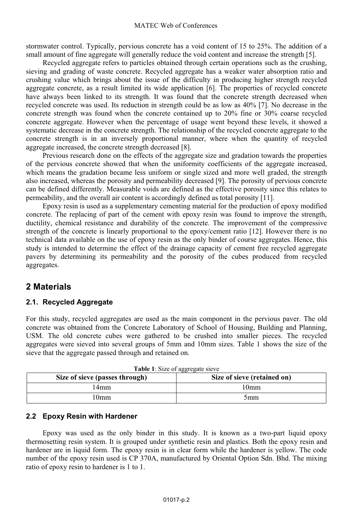stormwater control. Typically, pervious concrete has a void content of 15 to 25%. The addition of a small amount of fine aggregate will generally reduce the void content and increase the strength [5].

 Recycled aggregate refers to particles obtained through certain operations such as the crushing, sieving and grading of waste concrete. Recycled aggregate has a weaker water absorption ratio and crushing value which brings about the issue of the difficulty in producing higher strength recycled aggregate concrete, as a result limited its wide application [6]. The properties of recycled concrete have always been linked to its strength. It was found that the concrete strength decreased when recycled concrete was used. Its reduction in strength could be as low as 40% [7]. No decrease in the concrete strength was found when the concrete contained up to 20% fine or 30% coarse recycled concrete aggregate. However when the percentage of usage went beyond these levels, it showed a systematic decrease in the concrete strength. The relationship of the recycled concrete aggregate to the concrete strength is in an inversely proportional manner, where when the quantity of recycled aggregate increased, the concrete strength decreased [8].

 Previous research done on the effects of the aggregate size and gradation towards the properties of the pervious concrete showed that when the uniformity coefficients of the aggregate increased, which means the gradation became less uniform or single sized and more well graded, the strength also increased, whereas the porosity and permeability decreased [9]. The porosity of pervious concrete can be defined differently. Measurable voids are defined as the effective porosity since this relates to permeability, and the overall air content is accordingly defined as total porosity [11].

 Epoxy resin is used as a supplementary cementing material for the production of epoxy modified concrete. The replacing of part of the cement with epoxy resin was found to improve the strength, ductility, chemical resistance and durability of the concrete. The improvement of the compressive strength of the concrete is linearly proportional to the epoxy/cement ratio [12]. However there is no technical data available on the use of epoxy resin as the only binder of course aggregates. Hence, this study is intended to determine the effect of the drainage capacity of cement free recycled aggregate pavers by determining its permeability and the porosity of the cubes produced from recycled aggregates.

## **2 Materials**

#### **2.1. Recycled Aggregate**

For this study, recycled aggregates are used as the main component in the pervious paver. The old concrete was obtained from the Concrete Laboratory of School of Housing, Building and Planning, USM. The old concrete cubes were gathered to be crushed into smaller pieces. The recycled aggregates were sieved into several groups of 5mm and 10mm sizes. Table 1 shows the size of the sieve that the aggregate passed through and retained on.

| Size of sieve (passes through) | Size of sieve (retained on) |  |
|--------------------------------|-----------------------------|--|
| l 4mm                          | 10 <sub>mm</sub>            |  |
| l 0mm                          | 5mm                         |  |

|  |  |  | Table 1: Size of aggregate sieve |  |
|--|--|--|----------------------------------|--|
|--|--|--|----------------------------------|--|

#### **2.2 Epoxy Resin with Hardener**

Epoxy was used as the only binder in this study. It is known as a two-part liquid epoxy thermosetting resin system. It is grouped under synthetic resin and plastics. Both the epoxy resin and hardener are in liquid form. The epoxy resin is in clear form while the hardener is yellow. The code number of the epoxy resin used is CP 370A, manufactured by Oriental Option Sdn. Bhd. The mixing ratio of epoxy resin to hardener is 1 to 1.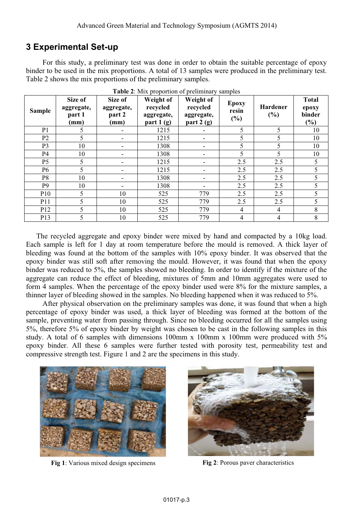## **3 Experimental Set-up**

 For this study, a preliminary test was done in order to obtain the suitable percentage of epoxy binder to be used in the mix proportions. A total of 13 samples were produced in the preliminary test. Table 2 shows the mix proportions of the preliminary samples.

| Sample          | Size of<br>aggregate,<br>part 1<br>(mm) | Size of<br>aggregate,<br>part 2<br>(mm) | Weight of<br>recycled<br>aggregate,<br>part $1(g)$ | Weight of<br>recycled<br>aggregate,<br>part $2(g)$ | $\overline{ }$<br>Epoxy<br>resin<br>(%) | Hardener<br>(%) | <b>Total</b><br>epoxy<br>binder<br>$(\%)$ |
|-----------------|-----------------------------------------|-----------------------------------------|----------------------------------------------------|----------------------------------------------------|-----------------------------------------|-----------------|-------------------------------------------|
| P <sub>1</sub>  | 5.                                      |                                         | 1215                                               |                                                    | 5                                       | 5               | 10                                        |
| P <sub>2</sub>  | 5.                                      |                                         | 1215                                               |                                                    | 5                                       | 5               | 10                                        |
| P <sub>3</sub>  | 10                                      |                                         | 1308                                               |                                                    | 5                                       | 5               | 10                                        |
| P4              | 10                                      |                                         | 1308                                               |                                                    | 5                                       | 5               | 10                                        |
| P <sub>5</sub>  | 5.                                      |                                         | 1215                                               |                                                    | 2.5                                     | 2.5             | 5                                         |
| P <sub>6</sub>  | 5.                                      |                                         | 1215                                               |                                                    | 2.5                                     | 2.5             | 5                                         |
| P <sub>8</sub>  | 10                                      |                                         | 1308                                               |                                                    | 2.5                                     | 2.5             | 5                                         |
| P <sub>9</sub>  | 10                                      |                                         | 1308                                               |                                                    | 2.5                                     | 2.5             | 5                                         |
| <b>P10</b>      | 5.                                      | 10                                      | 525                                                | 779                                                | 2.5                                     | 2.5             | 5                                         |
| P <sub>11</sub> | 5.                                      | 10                                      | 525                                                | 779                                                | 2.5                                     | 2.5             | 5                                         |
| P <sub>12</sub> | 5.                                      | 10                                      | 525                                                | 779                                                | $\overline{4}$                          | $\overline{4}$  | 8                                         |
| P13             | 5.                                      | 10                                      | 525                                                | 779                                                | 4                                       | $\overline{4}$  | 8                                         |

**Table 2**: Mix proportion of preliminary samples

The recycled aggregate and epoxy binder were mixed by hand and compacted by a 10kg load. Each sample is left for 1 day at room temperature before the mould is removed. A thick layer of bleeding was found at the bottom of the samples with 10% epoxy binder. It was observed that the epoxy binder was still soft after removing the mould. However, it was found that when the epoxy binder was reduced to 5%, the samples showed no bleeding. In order to identify if the mixture of the aggregate can reduce the effect of bleeding, mixtures of 5mm and 10mm aggregates were used to form 4 samples. When the percentage of the epoxy binder used were 8% for the mixture samples, a thinner layer of bleeding showed in the samples. No bleeding happened when it was reduced to 5%.

 After physical observation on the preliminary samples was done, it was found that when a high percentage of epoxy binder was used, a thick layer of bleeding was formed at the bottom of the sample, preventing water from passing through. Since no bleeding occurred for all the samples using 5%, therefore 5% of epoxy binder by weight was chosen to be cast in the following samples in this study. A total of 6 samples with dimensions 100mm x 100mm x 100mm were produced with 5% epoxy binder. All these 6 samples were further tested with porosity test, permeability test and compressive strength test. Figure 1 and 2 are the specimens in this study.



**Fig 1**: Various mixed design specimens **Fig 2**: Porous paver characteristics

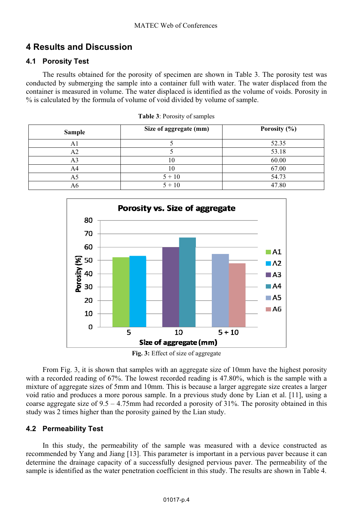## **4 Results and Discussion**

#### **4.1 Porosity Test**

The results obtained for the porosity of specimen are shown in Table 3. The porosity test was conducted by submerging the sample into a container full with water. The water displaced from the container is measured in volume. The water displaced is identified as the volume of voids. Porosity in % is calculated by the formula of volume of void divided by volume of sample.

| Sample | Size of aggregate (mm) | Porosity $(\% )$ |
|--------|------------------------|------------------|
|        |                        | 52.35            |
| A2     |                        | 53.18            |
| A3     | 10                     | 60.00            |
| A4     | 10                     | 67.00            |
|        | $5 + 10$               | 54.73            |
|        | $5 + 10$               | 47.80            |

**Table 3**: Porosity of samples



**Fig. 3:** Effect of size of aggregate

From Fig. 3, it is shown that samples with an aggregate size of 10mm have the highest porosity with a recorded reading of 67%. The lowest recorded reading is 47.80%, which is the sample with a mixture of aggregate sizes of 5mm and 10mm. This is because a larger aggregate size creates a larger void ratio and produces a more porous sample. In a previous study done by Lian et al. [11], using a coarse aggregate size of  $9.5 - 4.75$ mm had recorded a porosity of  $31\%$ . The porosity obtained in this study was 2 times higher than the porosity gained by the Lian study.

#### **4.2 Permeability Test**

In this study, the permeability of the sample was measured with a device constructed as recommended by Yang and Jiang [13]. This parameter is important in a pervious paver because it can determine the drainage capacity of a successfully designed pervious paver. The permeability of the sample is identified as the water penetration coefficient in this study. The results are shown in Table 4.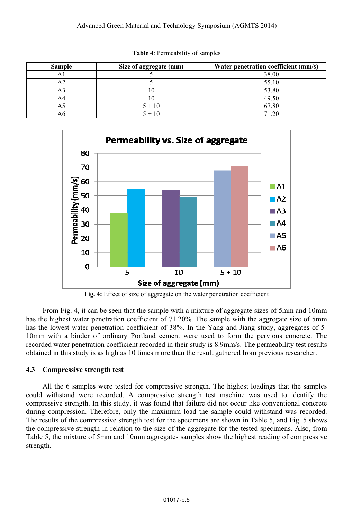| <b>Sample</b> | Size of aggregate (mm) | Water penetration coefficient (mm/s) |
|---------------|------------------------|--------------------------------------|
| A.            |                        | 38.00                                |
|               |                        | 55.10                                |
|               |                        | 53.80                                |
|               |                        | 49.50                                |
|               | $5 + 10$               | 67.80                                |
|               | $5 + 10$               | 71 20                                |

**Table 4**: Permeability of samples



**Fig. 4:** Effect of size of aggregate on the water penetration coefficient

From Fig. 4, it can be seen that the sample with a mixture of aggregate sizes of 5mm and 10mm has the highest water penetration coefficient of 71.20%. The sample with the aggregate size of 5mm has the lowest water penetration coefficient of 38%. In the Yang and Jiang study, aggregates of 5- 10mm with a binder of ordinary Portland cement were used to form the pervious concrete. The recorded water penetration coefficient recorded in their study is 8.9mm/s. The permeability test results obtained in this study is as high as 10 times more than the result gathered from previous researcher.

#### **4.3 Compressive strength test**

 All the 6 samples were tested for compressive strength. The highest loadings that the samples could withstand were recorded. A compressive strength test machine was used to identify the compressive strength. In this study, it was found that failure did not occur like conventional concrete during compression. Therefore, only the maximum load the sample could withstand was recorded. The results of the compressive strength test for the specimens are shown in Table 5, and Fig. 5 shows the compressive strength in relation to the size of the aggregate for the tested specimens. Also, from Table 5, the mixture of 5mm and 10mm aggregates samples show the highest reading of compressive strength.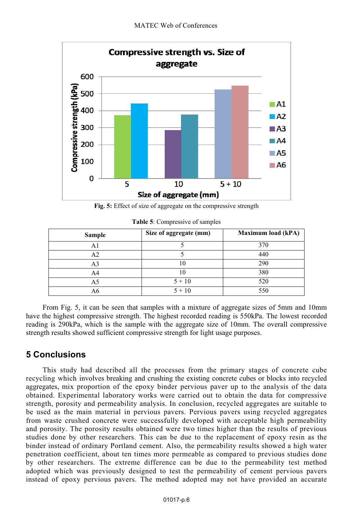

**Fig. 5:** Effect of size of aggregate on the compressive strength

| <b>Sample</b> | Size of aggregate (mm) | <b>Maximum load (kPA)</b> |
|---------------|------------------------|---------------------------|
| A             |                        | 370                       |
| A2            |                        | 440                       |
| A3            | 10                     | 290                       |
| A4            | 10                     | 380                       |
| A5            | $5 + 10$               | 520                       |
| Аt            | $5 + 10$               | 550                       |

**Table 5**: Compressive of samples

From Fig. 5, it can be seen that samples with a mixture of aggregate sizes of 5mm and 10mm have the highest compressive strength. The highest recorded reading is 550kPa. The lowest recorded reading is 290kPa, which is the sample with the aggregate size of 10mm. The overall compressive strength results showed sufficient compressive strength for light usage purposes.

## **5 Conclusions**

This study had described all the processes from the primary stages of concrete cube recycling which involves breaking and crushing the existing concrete cubes or blocks into recycled aggregates, mix proportion of the epoxy binder pervious paver up to the analysis of the data obtained. Experimental laboratory works were carried out to obtain the data for compressive strength, porosity and permeability analysis. In conclusion, recycled aggregates are suitable to be used as the main material in pervious pavers. Pervious pavers using recycled aggregates from waste crushed concrete were successfully developed with acceptable high permeability and porosity. The porosity results obtained were two times higher than the results of previous studies done by other researchers. This can be due to the replacement of epoxy resin as the binder instead of ordinary Portland cement. Also, the permeability results showed a high water penetration coefficient, about ten times more permeable as compared to previous studies done by other researchers. The extreme difference can be due to the permeability test method adopted which was previously designed to test the permeability of cement pervious pavers instead of epoxy pervious pavers. The method adopted may not have provided an accurate